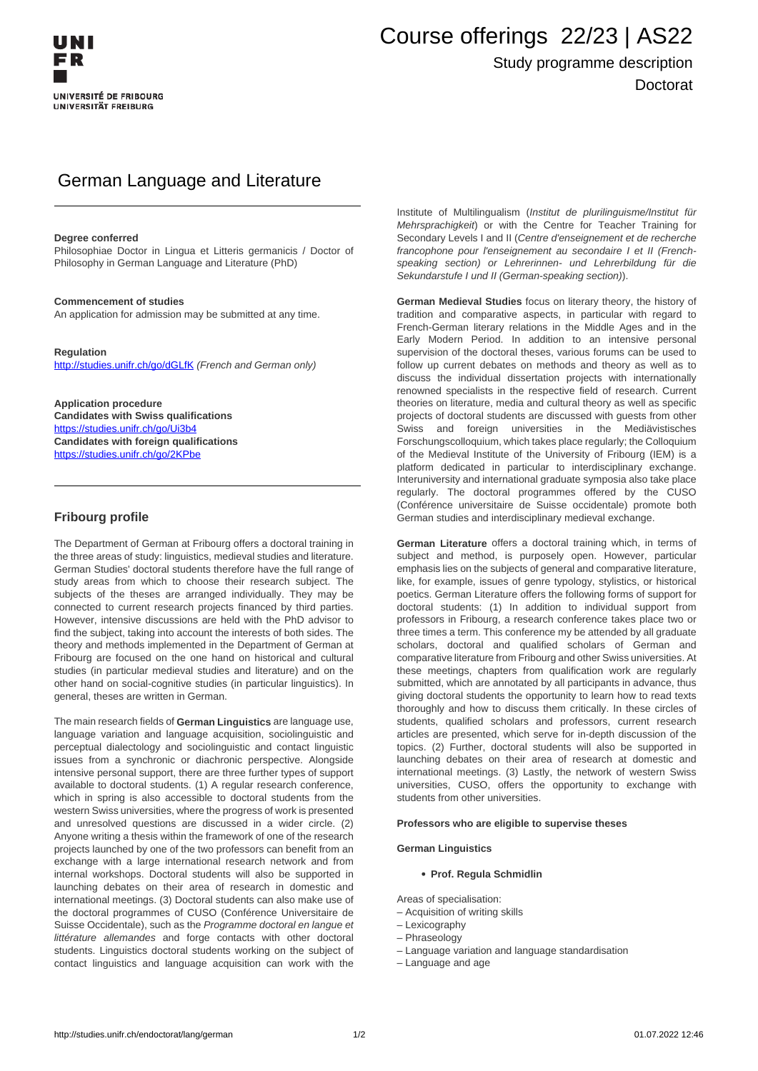# Course offerings 22/23 | AS22

# Study programme description Doctorat

# German Language and Literature

#### **Degree conferred**

Philosophiae Doctor in Lingua et Litteris germanicis / Doctor of Philosophy in German Language and Literature (PhD)

#### **Commencement of studies**

An application for admission may be submitted at any time.

#### **Regulation**

<http://studies.unifr.ch/go/dGLfK> (French and German only)

**Application procedure Candidates with Swiss qualifications** https://studies.unifr.ch/go/Ui3b4 **Candidates with foreign qualifications** https://studies.unifr.ch/go/2KPbe

### **Fribourg profile**

The Department of German at Fribourg offers a doctoral training in the three areas of study: linguistics, medieval studies and literature. German Studies' doctoral students therefore have the full range of study areas from which to choose their research subject. The subjects of the theses are arranged individually. They may be connected to current research projects financed by third parties. However, intensive discussions are held with the PhD advisor to find the subject, taking into account the interests of both sides. The theory and methods implemented in the Department of German at Fribourg are focused on the one hand on historical and cultural studies (in particular medieval studies and literature) and on the other hand on social-cognitive studies (in particular linguistics). In general, theses are written in German.

The main research fields of **German Linguistics** are language use, language variation and language acquisition, sociolinguistic and perceptual dialectology and sociolinguistic and contact linguistic issues from a synchronic or diachronic perspective. Alongside intensive personal support, there are three further types of support available to doctoral students. (1) A regular research conference, which in spring is also accessible to doctoral students from the western Swiss universities, where the progress of work is presented and unresolved questions are discussed in a wider circle. (2) Anyone writing a thesis within the framework of one of the research projects launched by one of the two professors can benefit from an exchange with a large international research network and from internal workshops. Doctoral students will also be supported in launching debates on their area of research in domestic and international meetings. (3) Doctoral students can also make use of the doctoral programmes of CUSO (Conférence Universitaire de Suisse Occidentale), such as the Programme doctoral en langue et littérature allemandes and forge contacts with other doctoral students. Linguistics doctoral students working on the subject of contact linguistics and language acquisition can work with the

Institute of Multilingualism (Institut de plurilinguisme/Institut für Mehrsprachigkeit) or with the Centre for Teacher Training for Secondary Levels I and II (Centre d'enseignement et de recherche francophone pour l'enseignement au secondaire I et II (Frenchspeaking section) or Lehrerinnen- und Lehrerbildung für die Sekundarstufe I und II (German-speaking section)).

**German Medieval Studies** focus on literary theory, the history of tradition and comparative aspects, in particular with regard to French-German literary relations in the Middle Ages and in the Early Modern Period. In addition to an intensive personal supervision of the doctoral theses, various forums can be used to follow up current debates on methods and theory as well as to discuss the individual dissertation projects with internationally renowned specialists in the respective field of research. Current theories on literature, media and cultural theory as well as specific projects of doctoral students are discussed with guests from other Swiss and foreign universities in the Mediävistisches Forschungscolloquium, which takes place regularly; the Colloquium of the Medieval Institute of the University of Fribourg (IEM) is a platform dedicated in particular to interdisciplinary exchange. Interuniversity and international graduate symposia also take place regularly. The doctoral programmes offered by the CUSO (Conférence universitaire de Suisse occidentale) promote both German studies and interdisciplinary medieval exchange.

**German Literature** offers a doctoral training which, in terms of subject and method, is purposely open. However, particular emphasis lies on the subjects of general and comparative literature, like, for example, issues of genre typology, stylistics, or historical poetics. German Literature offers the following forms of support for doctoral students: (1) In addition to individual support from professors in Fribourg, a research conference takes place two or three times a term. This conference my be attended by all graduate scholars, doctoral and qualified scholars of German and comparative literature from Fribourg and other Swiss universities. At these meetings, chapters from qualification work are regularly submitted, which are annotated by all participants in advance, thus giving doctoral students the opportunity to learn how to read texts thoroughly and how to discuss them critically. In these circles of students, qualified scholars and professors, current research articles are presented, which serve for in-depth discussion of the topics. (2) Further, doctoral students will also be supported in launching debates on their area of research at domestic and international meetings. (3) Lastly, the network of western Swiss universities, CUSO, offers the opportunity to exchange with students from other universities.

#### **Professors who are eligible to supervise theses**

#### **German Linguistics**

#### **Prof. Regula Schmidlin**

Areas of specialisation:

- Acquisition of writing skills
- Lexicography
- Phraseology
- Language variation and language standardisation
- Language and age